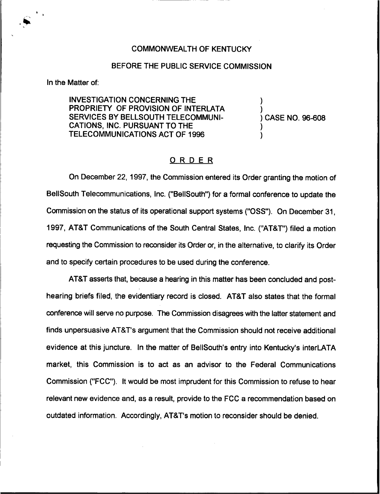## COMMONWEALTH OF KENTUCKY

## BEFORE THE PUBLIC SERVICE COMMISSION

In the Matter of:

INVESTIGATION CONCERNING THE PROPRIETY OF PROVISION OF INTERLATA SERVICES BY BELLSOUTH TELECOMMUNI-CATIONS, INC. PURSUANT TO THE TELECOMMUNICATIONS ACT OF 1996

) CASE NO. 96-608

) )

) )

## ORDER

On December 22, 1997, the Commission entered its Order granting the motion of BelISouth Telecommunications, Inc. ("BellSouth") for a formal conference to update the Commission on the status of its operational support systems ("OSS"). On December 31, 1997, AT8T Communications of the South Central States, Inc. ("AT8T") filed a motion requesting the Commission to reconsider its Order or, in the alternative, to clarify its Order and to specify certain procedures to be used during the conference.

AT8T asserts that, because a hearing in this matter has been concluded and posthearing briefs filed, the evidentiary record is closed. AT8T also states that the formal conference will serve no purpose. The Commission disagrees with the latter statement and finds unpersuasive AT8T's argument that the Commission should not receive additional evidence at this juncture. In the matter of BellSouth's entry into Kentucky's interLATA market, this Commission is to act as an advisor to the Federal Communications Commission ("FCC"). It would be most imprudent for this Commission to refuse to hear relevant new evidence and, as a result, provide to the FCC a recommendation based on outdated information. Accordingly, AT&T's motion to reconsider should be denied.